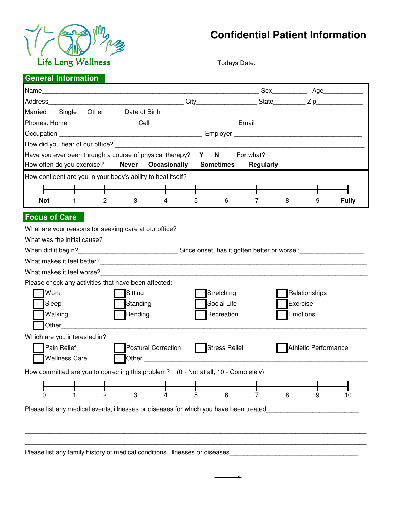

## **Confidential Patient Information**

Todays Date: \_\_\_\_\_\_\_\_\_\_\_\_\_\_\_\_\_\_\_\_\_\_\_\_\_\_\_\_\_\_\_\_\_\_\_

## **General Information**

| Married<br>Single Other                                                                                                                                                                                                        |                  |                      |              |
|--------------------------------------------------------------------------------------------------------------------------------------------------------------------------------------------------------------------------------|------------------|----------------------|--------------|
|                                                                                                                                                                                                                                |                  |                      |              |
|                                                                                                                                                                                                                                |                  |                      |              |
|                                                                                                                                                                                                                                |                  |                      |              |
| Have you ever been through a course of physical therapy? $Y \tN$ For what?                                                                                                                                                     |                  |                      |              |
| How often do you exercise?<br><b>Never</b><br><b>Sometimes</b><br>Occasionally                                                                                                                                                 | <b>Regularly</b> |                      |              |
| How confident are you in your body's ability to heal itself?                                                                                                                                                                   |                  |                      |              |
|                                                                                                                                                                                                                                |                  |                      |              |
| <b>Not</b><br>$\overline{2}$<br>3<br>$\overline{4}$<br>5<br>6<br>1.                                                                                                                                                            | 7                | 8<br>9               | <b>Fully</b> |
|                                                                                                                                                                                                                                |                  |                      |              |
| <b>Focus of Care</b>                                                                                                                                                                                                           |                  |                      |              |
| What are your reasons for seeking care at our office? Notice and the control of the control of the control of the control of the control of the control of the control of the control of the control of the control of the con |                  |                      |              |
|                                                                                                                                                                                                                                |                  |                      |              |
| When did it begin?___________________________________Since onset, has it gotten better or worse?___________________                                                                                                            |                  |                      |              |
|                                                                                                                                                                                                                                |                  |                      |              |
| What makes it feel worse? What makes it feel worse?                                                                                                                                                                            |                  |                      |              |
| Please check any activities that have been affected:                                                                                                                                                                           |                  |                      |              |
| Work<br>Sitting<br>Stretching                                                                                                                                                                                                  |                  | Relationships        |              |
| Social Life<br>Sleep<br>Standing                                                                                                                                                                                               |                  | Exercise             |              |
| Bending<br>Recreation<br>Walking                                                                                                                                                                                               |                  | Emotions             |              |
| Other                                                                                                                                                                                                                          |                  |                      |              |
| Which are you interested in?                                                                                                                                                                                                   |                  |                      |              |
| Stress Relief<br>Pain Relief<br>Postural Correction                                                                                                                                                                            |                  | Athletic Performance |              |
| <b>Wellness Care</b>                                                                                                                                                                                                           |                  |                      |              |
| How committed are you to correcting this problem? $(0 - Not at all, 10 - Completely)$                                                                                                                                          |                  |                      |              |
|                                                                                                                                                                                                                                |                  |                      |              |
| 0<br>2<br>3<br>5<br>6                                                                                                                                                                                                          | 7                | 8<br>9               | 10           |
| Please list any medical events, illnesses or diseases for which you have been treated                                                                                                                                          |                  |                      |              |
|                                                                                                                                                                                                                                |                  |                      |              |
|                                                                                                                                                                                                                                |                  |                      |              |
|                                                                                                                                                                                                                                |                  |                      |              |
| Please list any family history of medical conditions, illnesses or diseases                                                                                                                                                    |                  |                      |              |
|                                                                                                                                                                                                                                |                  |                      |              |
|                                                                                                                                                                                                                                |                  |                      |              |